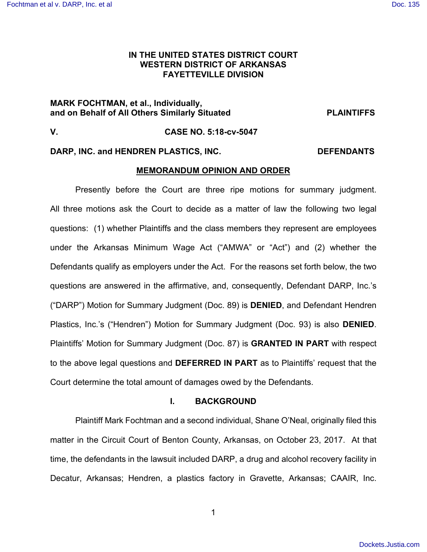# **IN THE UNITED STATES DISTRICT COURT WESTERN DISTRICT OF ARKANSAS FAYETTEVILLE DIVISION**

# **MARK FOCHTMAN, et al., Individually, and on Behalf of All Others Similarly Situated PLAINTIFFS**

# **V. CASE NO. 5:18-cv-5047**

# DARP, INC. and HENDREN PLASTICS, INC. **Example 20 INC.** DEFENDANTS

# **MEMORANDUM OPINION AND ORDER**

Presently before the Court are three ripe motions for summary judgment. All three motions ask the Court to decide as a matter of law the following two legal questions: (1) whether Plaintiffs and the class members they represent are employees under the Arkansas Minimum Wage Act ("AMWA" or "Act") and (2) whether the Defendants qualify as employers under the Act. For the reasons set forth below, the two questions are answered in the affirmative, and, consequently, Defendant DARP, Inc.'s ("DARP") Motion for Summary Judgment (Doc. 89) is **DENIED**, and Defendant Hendren Plastics, Inc.'s ("Hendren") Motion for Summary Judgment (Doc. 93) is also **DENIED**. Plaintiffs' Motion for Summary Judgment (Doc. 87) is **GRANTED IN PART** with respect to the above legal questions and **DEFERRED IN PART** as to Plaintiffs' request that the Court determine the total amount of damages owed by the Defendants.

# **I. BACKGROUND**

Plaintiff Mark Fochtman and a second individual, Shane O'Neal, originally filed this matter in the Circuit Court of Benton County, Arkansas, on October 23, 2017. At that time, the defendants in the lawsuit included DARP, a drug and alcohol recovery facility in Decatur, Arkansas; Hendren, a plastics factory in Gravette, Arkansas; CAAIR, Inc.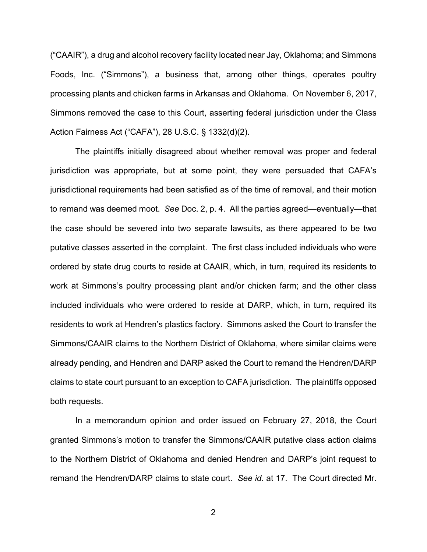("CAAIR"), a drug and alcohol recovery facility located near Jay, Oklahoma; and Simmons Foods, Inc. ("Simmons"), a business that, among other things, operates poultry processing plants and chicken farms in Arkansas and Oklahoma. On November 6, 2017, Simmons removed the case to this Court, asserting federal jurisdiction under the Class Action Fairness Act ("CAFA"), 28 U.S.C. § 1332(d)(2).

The plaintiffs initially disagreed about whether removal was proper and federal jurisdiction was appropriate, but at some point, they were persuaded that CAFA's jurisdictional requirements had been satisfied as of the time of removal, and their motion to remand was deemed moot. *See* Doc. 2, p. 4. All the parties agreed—eventually—that the case should be severed into two separate lawsuits, as there appeared to be two putative classes asserted in the complaint. The first class included individuals who were ordered by state drug courts to reside at CAAIR, which, in turn, required its residents to work at Simmons's poultry processing plant and/or chicken farm; and the other class included individuals who were ordered to reside at DARP, which, in turn, required its residents to work at Hendren's plastics factory. Simmons asked the Court to transfer the Simmons/CAAIR claims to the Northern District of Oklahoma, where similar claims were already pending, and Hendren and DARP asked the Court to remand the Hendren/DARP claims to state court pursuant to an exception to CAFA jurisdiction. The plaintiffs opposed both requests.

In a memorandum opinion and order issued on February 27, 2018, the Court granted Simmons's motion to transfer the Simmons/CAAIR putative class action claims to the Northern District of Oklahoma and denied Hendren and DARP's joint request to remand the Hendren/DARP claims to state court. *See id.* at 17. The Court directed Mr.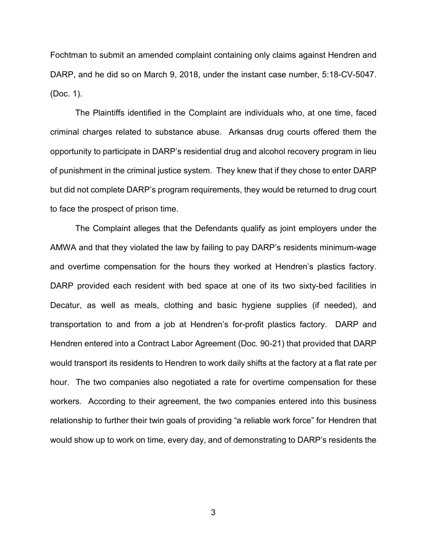Fochtman to submit an amended complaint containing only claims against Hendren and DARP, and he did so on March 9, 2018, under the instant case number, 5:18-CV-5047. (Doc. 1).

The Plaintiffs identified in the Complaint are individuals who, at one time, faced criminal charges related to substance abuse. Arkansas drug courts offered them the opportunity to participate in DARP's residential drug and alcohol recovery program in lieu of punishment in the criminal justice system. They knew that if they chose to enter DARP but did not complete DARP's program requirements, they would be returned to drug court to face the prospect of prison time.

The Complaint alleges that the Defendants qualify as joint employers under the AMWA and that they violated the law by failing to pay DARP's residents minimum-wage and overtime compensation for the hours they worked at Hendren's plastics factory. DARP provided each resident with bed space at one of its two sixty-bed facilities in Decatur, as well as meals, clothing and basic hygiene supplies (if needed), and transportation to and from a job at Hendren's for-profit plastics factory. DARP and Hendren entered into a Contract Labor Agreement (Doc. 90-21) that provided that DARP would transport its residents to Hendren to work daily shifts at the factory at a flat rate per hour. The two companies also negotiated a rate for overtime compensation for these workers. According to their agreement, the two companies entered into this business relationship to further their twin goals of providing "a reliable work force" for Hendren that would show up to work on time, every day, and of demonstrating to DARP's residents the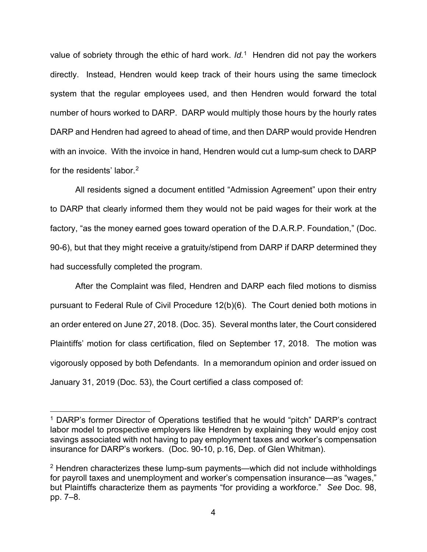value of sobriety through the ethic of hard work. *Id.*[1](#page-3-0) Hendren did not pay the workers directly. Instead, Hendren would keep track of their hours using the same timeclock system that the regular employees used, and then Hendren would forward the total number of hours worked to DARP. DARP would multiply those hours by the hourly rates DARP and Hendren had agreed to ahead of time, and then DARP would provide Hendren with an invoice. With the invoice in hand, Hendren would cut a lump-sum check to DARP for the residents' labor.<sup>[2](#page-3-1)</sup>

All residents signed a document entitled "Admission Agreement" upon their entry to DARP that clearly informed them they would not be paid wages for their work at the factory, "as the money earned goes toward operation of the D.A.R.P. Foundation," (Doc. 90-6), but that they might receive a gratuity/stipend from DARP if DARP determined they had successfully completed the program.

After the Complaint was filed, Hendren and DARP each filed motions to dismiss pursuant to Federal Rule of Civil Procedure 12(b)(6). The Court denied both motions in an order entered on June 27, 2018. (Doc. 35). Several months later, the Court considered Plaintiffs' motion for class certification, filed on September 17, 2018. The motion was vigorously opposed by both Defendants. In a memorandum opinion and order issued on January 31, 2019 (Doc. 53), the Court certified a class composed of:

<span id="page-3-0"></span><sup>&</sup>lt;sup>1</sup> DARP's former Director of Operations testified that he would "pitch" DARP's contract labor model to prospective employers like Hendren by explaining they would enjoy cost savings associated with not having to pay employment taxes and worker's compensation insurance for DARP's workers. (Doc. 90-10, p.16, Dep. of Glen Whitman).

<span id="page-3-1"></span> $2$  Hendren characterizes these lump-sum payments—which did not include withholdings for payroll taxes and unemployment and worker's compensation insurance—as "wages," but Plaintiffs characterize them as payments "for providing a workforce." *See* Doc. 98, pp. 7–8.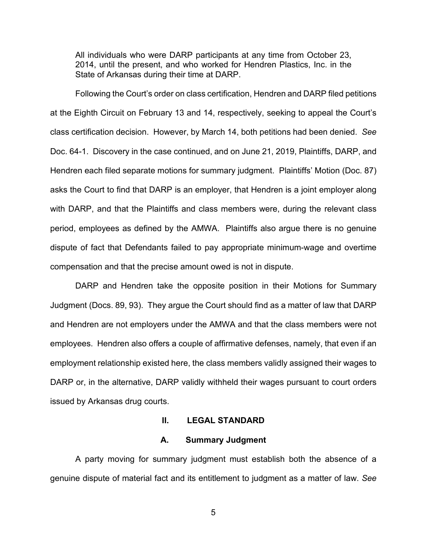All individuals who were DARP participants at any time from October 23, 2014, until the present, and who worked for Hendren Plastics, Inc. in the State of Arkansas during their time at DARP.

Following the Court's order on class certification, Hendren and DARP filed petitions at the Eighth Circuit on February 13 and 14, respectively, seeking to appeal the Court's class certification decision. However, by March 14, both petitions had been denied. *See* Doc. 64-1. Discovery in the case continued, and on June 21, 2019, Plaintiffs, DARP, and Hendren each filed separate motions for summary judgment. Plaintiffs' Motion (Doc. 87) asks the Court to find that DARP is an employer, that Hendren is a joint employer along with DARP, and that the Plaintiffs and class members were, during the relevant class period, employees as defined by the AMWA. Plaintiffs also argue there is no genuine dispute of fact that Defendants failed to pay appropriate minimum-wage and overtime compensation and that the precise amount owed is not in dispute.

DARP and Hendren take the opposite position in their Motions for Summary Judgment (Docs. 89, 93). They argue the Court should find as a matter of law that DARP and Hendren are not employers under the AMWA and that the class members were not employees. Hendren also offers a couple of affirmative defenses, namely, that even if an employment relationship existed here, the class members validly assigned their wages to DARP or, in the alternative, DARP validly withheld their wages pursuant to court orders issued by Arkansas drug courts.

# **II. LEGAL STANDARD**

#### **A. Summary Judgment**

A party moving for summary judgment must establish both the absence of a genuine dispute of material fact and its entitlement to judgment as a matter of law. *See*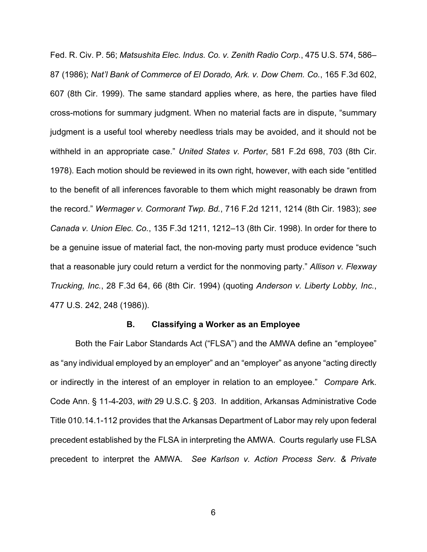Fed. R. Civ. P. 56; *Matsushita Elec. Indus. Co. v. Zenith Radio Corp.*, 475 U.S. 574, 586– 87 (1986); *Nat'l Bank of Commerce of El Dorado, Ark. v. Dow Chem. Co.*, 165 F.3d 602, 607 (8th Cir. 1999). The same standard applies where, as here, the parties have filed cross-motions for summary judgment. When no material facts are in dispute, "summary judgment is a useful tool whereby needless trials may be avoided, and it should not be withheld in an appropriate case." *United States v. Porter*, 581 F.2d 698, 703 (8th Cir. 1978). Each motion should be reviewed in its own right, however, with each side "entitled to the benefit of all inferences favorable to them which might reasonably be drawn from the record." *Wermager v. Cormorant Twp. Bd.*, 716 F.2d 1211, 1214 (8th Cir. 1983); *see Canada v. Union Elec. Co.*, 135 F.3d 1211, 1212–13 (8th Cir. 1998). In order for there to be a genuine issue of material fact, the non-moving party must produce evidence "such that a reasonable jury could return a verdict for the nonmoving party." *Allison v. Flexway Trucking, Inc.*, 28 F.3d 64, 66 (8th Cir. 1994) (quoting *Anderson v. Liberty Lobby, Inc.*, 477 U.S. 242, 248 (1986)).

#### **B. Classifying a Worker as an Employee**

Both the Fair Labor Standards Act ("FLSA") and the AMWA define an "employee" as "any individual employed by an employer" and an "employer" as anyone "acting directly or indirectly in the interest of an employer in relation to an employee." *Compare* Ark. Code Ann. § 11-4-203, *with* 29 U.S.C. § 203. In addition, Arkansas Administrative Code Title 010.14.1-112 provides that the Arkansas Department of Labor may rely upon federal precedent established by the FLSA in interpreting the AMWA. Courts regularly use FLSA precedent to interpret the AMWA. *See Karlson v. Action Process Serv. & Private*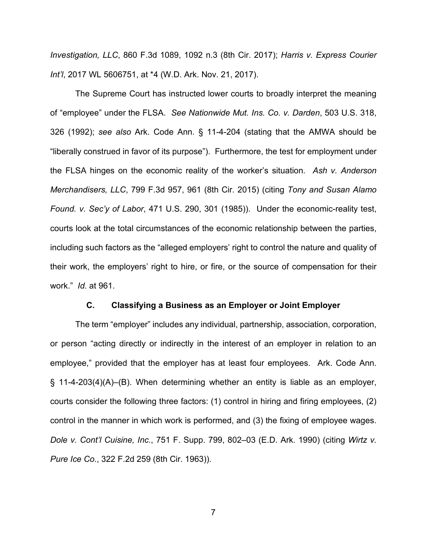*Investigation, LLC*, 860 F.3d 1089, 1092 n.3 (8th Cir. 2017); *Harris v. Express Courier Int'l*, 2017 WL 5606751, at \*4 (W.D. Ark. Nov. 21, 2017).

The Supreme Court has instructed lower courts to broadly interpret the meaning of "employee" under the FLSA. *See Nationwide Mut. Ins. Co. v. Darden*, 503 U.S. 318, 326 (1992); *see also* Ark. Code Ann. § 11-4-204 (stating that the AMWA should be "liberally construed in favor of its purpose"). Furthermore, the test for employment under the FLSA hinges on the economic reality of the worker's situation. *Ash v. Anderson Merchandisers, LLC*, 799 F.3d 957, 961 (8th Cir. 2015) (citing *Tony and Susan Alamo Found. v. Sec'y of Labor*, 471 U.S. 290, 301 (1985)). Under the economic-reality test, courts look at the total circumstances of the economic relationship between the parties, including such factors as the "alleged employers' right to control the nature and quality of their work, the employers' right to hire, or fire, or the source of compensation for their work." *Id.* at 961.

#### **C. Classifying a Business as an Employer or Joint Employer**

The term "employer" includes any individual, partnership, association, corporation, or person "acting directly or indirectly in the interest of an employer in relation to an employee," provided that the employer has at least four employees. Ark. Code Ann. § 11-4-203(4)(A)–(B). When determining whether an entity is liable as an employer, courts consider the following three factors: (1) control in hiring and firing employees, (2) control in the manner in which work is performed, and (3) the fixing of employee wages. *Dole v. Cont'l Cuisine, Inc.*, 751 F. Supp. 799, 802–03 (E.D. Ark. 1990) (citing *Wirtz v. Pure Ice Co.*, 322 F.2d 259 (8th Cir. 1963)).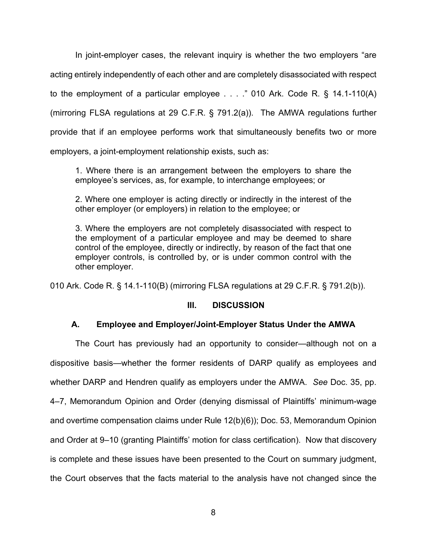In joint-employer cases, the relevant inquiry is whether the two employers "are acting entirely independently of each other and are completely disassociated with respect to the employment of a particular employee . . . ." 010 Ark. Code R. § 14.1-110(A) (mirroring FLSA regulations at 29 C.F.R. § 791.2(a)). The AMWA regulations further provide that if an employee performs work that simultaneously benefits two or more employers, a joint-employment relationship exists, such as:

1. Where there is an arrangement between the employers to share the employee's services, as, for example, to interchange employees; or

2. Where one employer is acting directly or indirectly in the interest of the other employer (or employers) in relation to the employee; or

3. Where the employers are not completely disassociated with respect to the employment of a particular employee and may be deemed to share control of the employee, directly or indirectly, by reason of the fact that one employer controls, is controlled by, or is under common control with the other employer.

010 Ark. Code R. § 14.1-110(B) (mirroring FLSA regulations at 29 C.F.R. § 791.2(b)).

# **III. DISCUSSION**

# **A. Employee and Employer/Joint-Employer Status Under the AMWA**

The Court has previously had an opportunity to consider—although not on a dispositive basis—whether the former residents of DARP qualify as employees and whether DARP and Hendren qualify as employers under the AMWA. *See* Doc. 35, pp. 4–7, Memorandum Opinion and Order (denying dismissal of Plaintiffs' minimum-wage and overtime compensation claims under Rule 12(b)(6)); Doc. 53, Memorandum Opinion and Order at 9–10 (granting Plaintiffs' motion for class certification). Now that discovery is complete and these issues have been presented to the Court on summary judgment, the Court observes that the facts material to the analysis have not changed since the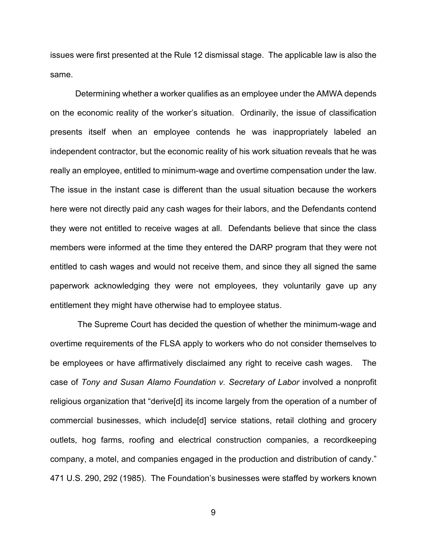issues were first presented at the Rule 12 dismissal stage. The applicable law is also the same.

Determining whether a worker qualifies as an employee under the AMWA depends on the economic reality of the worker's situation. Ordinarily, the issue of classification presents itself when an employee contends he was inappropriately labeled an independent contractor, but the economic reality of his work situation reveals that he was really an employee, entitled to minimum-wage and overtime compensation under the law. The issue in the instant case is different than the usual situation because the workers here were not directly paid any cash wages for their labors, and the Defendants contend they were not entitled to receive wages at all. Defendants believe that since the class members were informed at the time they entered the DARP program that they were not entitled to cash wages and would not receive them, and since they all signed the same paperwork acknowledging they were not employees, they voluntarily gave up any entitlement they might have otherwise had to employee status.

The Supreme Court has decided the question of whether the minimum-wage and overtime requirements of the FLSA apply to workers who do not consider themselves to be employees or have affirmatively disclaimed any right to receive cash wages. The case of *Tony and Susan Alamo Foundation v. Secretary of Labor* involved a nonprofit religious organization that "derive[d] its income largely from the operation of a number of commercial businesses, which include[d] service stations, retail clothing and grocery outlets, hog farms, roofing and electrical construction companies, a recordkeeping company, a motel, and companies engaged in the production and distribution of candy." 471 U.S. 290, 292 (1985). The Foundation's businesses were staffed by workers known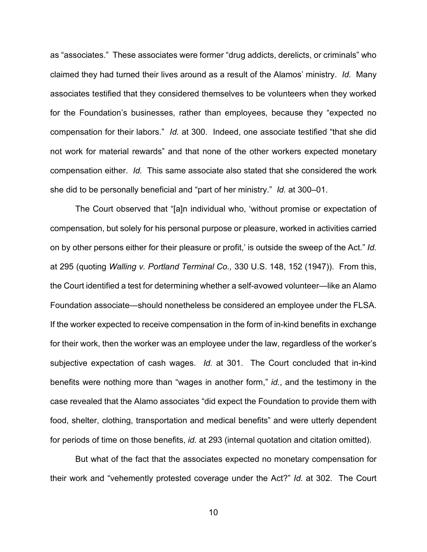as "associates." These associates were former "drug addicts, derelicts, or criminals" who claimed they had turned their lives around as a result of the Alamos' ministry. *Id.* Many associates testified that they considered themselves to be volunteers when they worked for the Foundation's businesses, rather than employees, because they "expected no compensation for their labors." *Id.* at 300. Indeed, one associate testified "that she did not work for material rewards" and that none of the other workers expected monetary compensation either. *Id.* This same associate also stated that she considered the work she did to be personally beneficial and "part of her ministry." *Id.* at 300–01.

The Court observed that "[a]n individual who, 'without promise or expectation of compensation, but solely for his personal purpose or pleasure, worked in activities carried on by other persons either for their pleasure or profit,' is outside the sweep of the Act." *Id.* at 295 (quoting *Walling v. Portland Terminal Co.,* 330 U.S. 148, 152 (1947)). From this, the Court identified a test for determining whether a self-avowed volunteer—like an Alamo Foundation associate—should nonetheless be considered an employee under the FLSA. If the worker expected to receive compensation in the form of in-kind benefits in exchange for their work, then the worker was an employee under the law, regardless of the worker's subjective expectation of cash wages. *Id.* at 301. The Court concluded that in-kind benefits were nothing more than "wages in another form," *id.*, and the testimony in the case revealed that the Alamo associates "did expect the Foundation to provide them with food, shelter, clothing, transportation and medical benefits" and were utterly dependent for periods of time on those benefits, *id.* at 293 (internal quotation and citation omitted).

But what of the fact that the associates expected no monetary compensation for their work and "vehemently protested coverage under the Act?" *Id.* at 302. The Court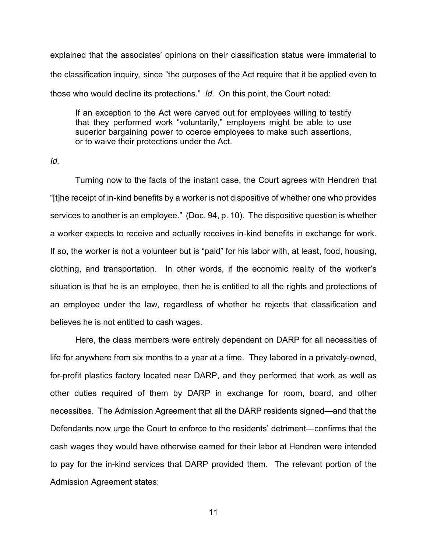explained that the associates' opinions on their classification status were immaterial to the classification inquiry, since "the purposes of the Act require that it be applied even to those who would decline its protections." *Id.* On this point, the Court noted:

If an exception to the Act were carved out for employees willing to testify that they performed work "voluntarily," employers might be able to use superior bargaining power to coerce employees to make such assertions, or to waive their protections under the Act.

*Id.*

Turning now to the facts of the instant case, the Court agrees with Hendren that "[t]he receipt of in-kind benefits by a worker is not dispositive of whether one who provides services to another is an employee." (Doc. 94, p. 10). The dispositive question is whether a worker expects to receive and actually receives in-kind benefits in exchange for work. If so, the worker is not a volunteer but is "paid" for his labor with, at least, food, housing, clothing, and transportation. In other words, if the economic reality of the worker's situation is that he is an employee, then he is entitled to all the rights and protections of an employee under the law, regardless of whether he rejects that classification and believes he is not entitled to cash wages.

Here, the class members were entirely dependent on DARP for all necessities of life for anywhere from six months to a year at a time. They labored in a privately-owned, for-profit plastics factory located near DARP, and they performed that work as well as other duties required of them by DARP in exchange for room, board, and other necessities. The Admission Agreement that all the DARP residents signed—and that the Defendants now urge the Court to enforce to the residents' detriment—confirms that the cash wages they would have otherwise earned for their labor at Hendren were intended to pay for the in-kind services that DARP provided them. The relevant portion of the Admission Agreement states: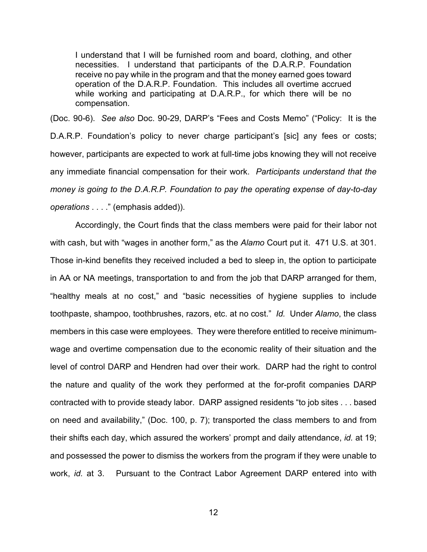I understand that I will be furnished room and board, clothing, and other necessities. I understand that participants of the D.A.R.P. Foundation receive no pay while in the program and that the money earned goes toward operation of the D.A.R.P. Foundation. This includes all overtime accrued while working and participating at D.A.R.P., for which there will be no compensation.

(Doc. 90-6). *See also* Doc. 90-29, DARP's "Fees and Costs Memo" ("Policy: It is the D.A.R.P. Foundation's policy to never charge participant's [sic] any fees or costs; however, participants are expected to work at full-time jobs knowing they will not receive any immediate financial compensation for their work. *Participants understand that the money is going to the D.A.R.P. Foundation to pay the operating expense of day-to-day operations* . . . ." (emphasis added)).

Accordingly, the Court finds that the class members were paid for their labor not with cash, but with "wages in another form," as the *Alamo* Court put it. 471 U.S. at 301. Those in-kind benefits they received included a bed to sleep in, the option to participate in AA or NA meetings, transportation to and from the job that DARP arranged for them, "healthy meals at no cost," and "basic necessities of hygiene supplies to include toothpaste, shampoo, toothbrushes, razors, etc. at no cost." *Id.* Under *Alamo*, the class members in this case were employees. They were therefore entitled to receive minimumwage and overtime compensation due to the economic reality of their situation and the level of control DARP and Hendren had over their work. DARP had the right to control the nature and quality of the work they performed at the for-profit companies DARP contracted with to provide steady labor. DARP assigned residents "to job sites . . . based on need and availability," (Doc. 100, p. 7); transported the class members to and from their shifts each day, which assured the workers' prompt and daily attendance, *id.* at 19; and possessed the power to dismiss the workers from the program if they were unable to work, *id.* at 3. Pursuant to the Contract Labor Agreement DARP entered into with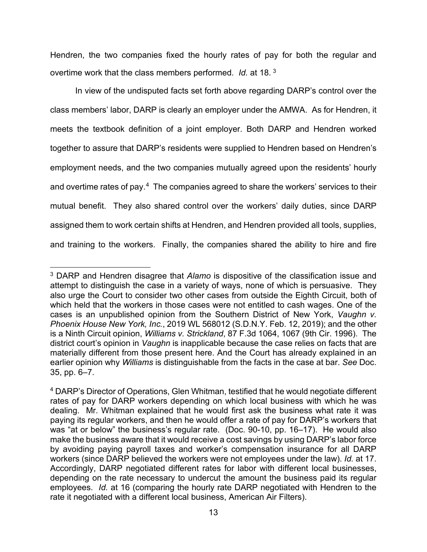Hendren, the two companies fixed the hourly rates of pay for both the regular and overtime work that the class members performed. *Id.* at 18. [3](#page-12-0)

In view of the undisputed facts set forth above regarding DARP's control over the class members' labor, DARP is clearly an employer under the AMWA. As for Hendren, it meets the textbook definition of a joint employer. Both DARP and Hendren worked together to assure that DARP's residents were supplied to Hendren based on Hendren's employment needs, and the two companies mutually agreed upon the residents' hourly and overtime rates of pay. $4$  The companies agreed to share the workers' services to their mutual benefit. They also shared control over the workers' daily duties, since DARP assigned them to work certain shifts at Hendren, and Hendren provided all tools, supplies, and training to the workers. Finally, the companies shared the ability to hire and fire

<span id="page-12-0"></span><sup>3</sup> DARP and Hendren disagree that *Alamo* is dispositive of the classification issue and attempt to distinguish the case in a variety of ways, none of which is persuasive. They also urge the Court to consider two other cases from outside the Eighth Circuit, both of which held that the workers in those cases were not entitled to cash wages. One of the cases is an unpublished opinion from the Southern District of New York, *Vaughn v. Phoenix House New York, Inc.*, 2019 WL 568012 (S.D.N.Y. Feb. 12, 2019); and the other is a Ninth Circuit opinion, *Williams v. Strickland*, 87 F.3d 1064, 1067 (9th Cir. 1996). The district court's opinion in *Vaughn* is inapplicable because the case relies on facts that are materially different from those present here. And the Court has already explained in an earlier opinion why *Williams* is distinguishable from the facts in the case at bar. *See* Doc. 35, pp. 6–7.

<span id="page-12-1"></span><sup>4</sup> DARP's Director of Operations, Glen Whitman, testified that he would negotiate different rates of pay for DARP workers depending on which local business with which he was dealing. Mr. Whitman explained that he would first ask the business what rate it was paying its regular workers, and then he would offer a rate of pay for DARP's workers that was "at or below" the business's regular rate. (Doc. 90-10, pp. 16–17). He would also make the business aware that it would receive a cost savings by using DARP's labor force by avoiding paying payroll taxes and worker's compensation insurance for all DARP workers (since DARP believed the workers were not employees under the law). *Id.* at 17. Accordingly, DARP negotiated different rates for labor with different local businesses, depending on the rate necessary to undercut the amount the business paid its regular employees. *Id.* at 16 (comparing the hourly rate DARP negotiated with Hendren to the rate it negotiated with a different local business, American Air Filters).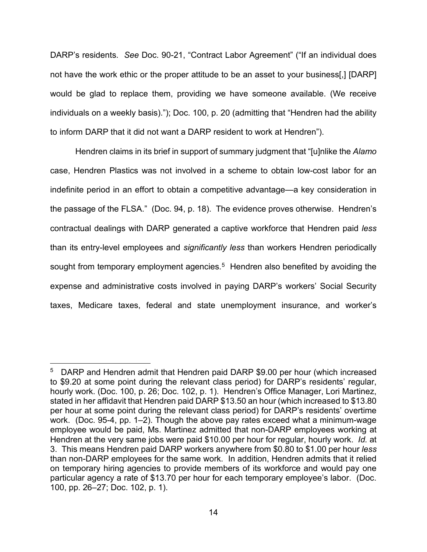DARP's residents. *See* Doc. 90-21, "Contract Labor Agreement" ("If an individual does not have the work ethic or the proper attitude to be an asset to your business[,] [DARP] would be glad to replace them, providing we have someone available. (We receive individuals on a weekly basis)."); Doc. 100, p. 20 (admitting that "Hendren had the ability to inform DARP that it did not want a DARP resident to work at Hendren").

Hendren claims in its brief in support of summary judgment that "[u]nlike the *Alamo* case, Hendren Plastics was not involved in a scheme to obtain low-cost labor for an indefinite period in an effort to obtain a competitive advantage—a key consideration in the passage of the FLSA." (Doc. 94, p. 18). The evidence proves otherwise. Hendren's contractual dealings with DARP generated a captive workforce that Hendren paid *less* than its entry-level employees and *significantly less* than workers Hendren periodically sought from temporary employment agencies.<sup>[5](#page-13-0)</sup> Hendren also benefited by avoiding the expense and administrative costs involved in paying DARP's workers' Social Security taxes, Medicare taxes, federal and state unemployment insurance, and worker's

<span id="page-13-0"></span><sup>&</sup>lt;sup>5</sup> DARP and Hendren admit that Hendren paid DARP \$9.00 per hour (which increased to \$9.20 at some point during the relevant class period) for DARP's residents' regular, hourly work. (Doc. 100, p. 26; Doc. 102, p. 1). Hendren's Office Manager, Lori Martinez, stated in her affidavit that Hendren paid DARP \$13.50 an hour (which increased to \$13.80 per hour at some point during the relevant class period) for DARP's residents' overtime work. (Doc. 95-4, pp. 1–2). Though the above pay rates exceed what a minimum-wage employee would be paid, Ms. Martinez admitted that non-DARP employees working at Hendren at the very same jobs were paid \$10.00 per hour for regular, hourly work. *Id.* at 3. This means Hendren paid DARP workers anywhere from \$0.80 to \$1.00 per hour *less* than non-DARP employees for the same work. In addition, Hendren admits that it relied on temporary hiring agencies to provide members of its workforce and would pay one particular agency a rate of \$13.70 per hour for each temporary employee's labor. (Doc. 100, pp. 26–27; Doc. 102, p. 1).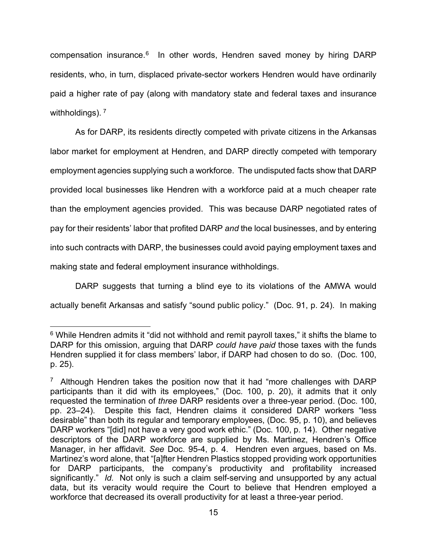compensation insurance.<sup>[6](#page-14-0)</sup> In other words, Hendren saved money by hiring DARP residents, who, in turn, displaced private-sector workers Hendren would have ordinarily paid a higher rate of pay (along with mandatory state and federal taxes and insurance withholdings).<sup>[7](#page-14-1)</sup>

As for DARP, its residents directly competed with private citizens in the Arkansas labor market for employment at Hendren, and DARP directly competed with temporary employment agencies supplying such a workforce. The undisputed facts show that DARP provided local businesses like Hendren with a workforce paid at a much cheaper rate than the employment agencies provided. This was because DARP negotiated rates of pay for their residents' labor that profited DARP *and* the local businesses, and by entering into such contracts with DARP, the businesses could avoid paying employment taxes and making state and federal employment insurance withholdings.

DARP suggests that turning a blind eye to its violations of the AMWA would actually benefit Arkansas and satisfy "sound public policy." (Doc. 91, p. 24). In making

<span id="page-14-0"></span> $6$  While Hendren admits it "did not withhold and remit payroll taxes," it shifts the blame to DARP for this omission, arguing that DARP *could have paid* those taxes with the funds Hendren supplied it for class members' labor, if DARP had chosen to do so. (Doc. 100, p. 25).

<span id="page-14-1"></span><sup>&</sup>lt;sup>7</sup> Although Hendren takes the position now that it had "more challenges with DARP participants than it did with its employees," (Doc. 100, p. 20), it admits that it only requested the termination of *three* DARP residents over a three-year period. (Doc. 100, pp. 23–24). Despite this fact, Hendren claims it considered DARP workers "less desirable" than both its regular and temporary employees, (Doc. 95, p. 10), and believes DARP workers "[did] not have a very good work ethic." (Doc. 100, p. 14). Other negative descriptors of the DARP workforce are supplied by Ms. Martinez, Hendren's Office Manager, in her affidavit. *See* Doc. 95-4, p. 4. Hendren even argues, based on Ms. Martinez's word alone, that "[a]fter Hendren Plastics stopped providing work opportunities for DARP participants, the company's productivity and profitability increased significantly." *Id.* Not only is such a claim self-serving and unsupported by any actual data, but its veracity would require the Court to believe that Hendren employed a workforce that decreased its overall productivity for at least a three-year period.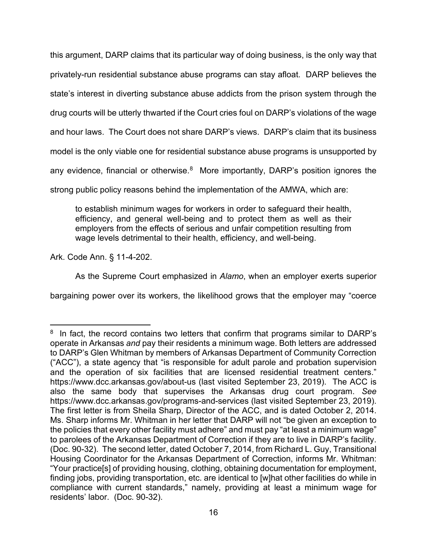this argument, DARP claims that its particular way of doing business, is the only way that privately-run residential substance abuse programs can stay afloat. DARP believes the state's interest in diverting substance abuse addicts from the prison system through the drug courts will be utterly thwarted if the Court cries foul on DARP's violations of the wage and hour laws. The Court does not share DARP's views. DARP's claim that its business model is the only viable one for residential substance abuse programs is unsupported by any evidence, financial or otherwise.<sup>[8](#page-15-0)</sup> More importantly, DARP's position ignores the strong public policy reasons behind the implementation of the AMWA, which are:

to establish minimum wages for workers in order to safeguard their health, efficiency, and general well-being and to protect them as well as their employers from the effects of serious and unfair competition resulting from wage levels detrimental to their health, efficiency, and well-being.

Ark. Code Ann. § 11-4-202.

As the Supreme Court emphasized in *Alamo*, when an employer exerts superior

bargaining power over its workers, the likelihood grows that the employer may "coerce

<span id="page-15-0"></span><sup>&</sup>lt;sup>8</sup> In fact, the record contains two letters that confirm that programs similar to DARP's operate in Arkansas *and* pay their residents a minimum wage. Both letters are addressed to DARP's Glen Whitman by members of Arkansas Department of Community Correction ("ACC"), a state agency that "is responsible for adult parole and probation supervision and the operation of six facilities that are licensed residential treatment centers." https://www.dcc.arkansas.gov/about-us (last visited September 23, 2019). The ACC is also the same body that supervises the Arkansas drug court program. *See* https://www.dcc.arkansas.gov/programs-and-services (last visited September 23, 2019). The first letter is from Sheila Sharp, Director of the ACC, and is dated October 2, 2014. Ms. Sharp informs Mr. Whitman in her letter that DARP will not "be given an exception to the policies that every other facility must adhere" and must pay "at least a minimum wage" to parolees of the Arkansas Department of Correction if they are to live in DARP's facility. (Doc. 90-32). The second letter, dated October 7, 2014, from Richard L. Guy, Transitional Housing Coordinator for the Arkansas Department of Correction, informs Mr. Whitman: "Your practice[s] of providing housing, clothing, obtaining documentation for employment, finding jobs, providing transportation, etc. are identical to [w]hat other facilities do while in compliance with current standards," namely, providing at least a minimum wage for residents' labor. (Doc. 90-32).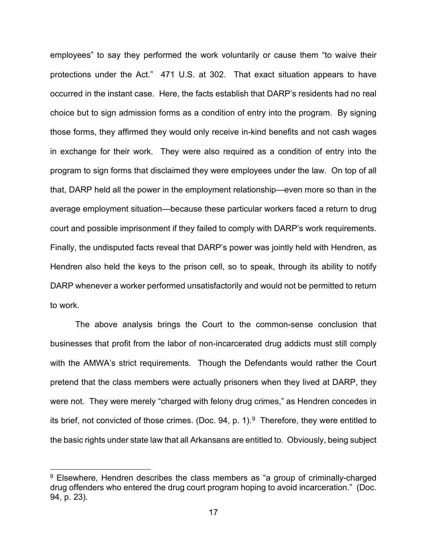employees" to say they performed the work voluntarily or cause them "to waive their protections under the Act." 471 U.S. at 302. That exact situation appears to have occurred in the instant case. Here, the facts establish that DARP's residents had no real choice but to sign admission forms as a condition of entry into the program. By signing those forms, they affirmed they would only receive in-kind benefits and not cash wages in exchange for their work. They were also required as a condition of entry into the program to sign forms that disclaimed they were employees under the law. On top of all that, DARP held all the power in the employment relationship—even more so than in the average employment situation—because these particular workers faced a return to drug court and possible imprisonment if they failed to comply with DARP's work requirements. Finally, the undisputed facts reveal that DARP's power was jointly held with Hendren, as Hendren also held the keys to the prison cell, so to speak, through its ability to notify DARP whenever a worker performed unsatisfactorily and would not be permitted to return to work.

The above analysis brings the Court to the common-sense conclusion that businesses that profit from the labor of non-incarcerated drug addicts must still comply with the AMWA's strict requirements. Though the Defendants would rather the Court pretend that the class members were actually prisoners when they lived at DARP, they were not. They were merely "charged with felony drug crimes," as Hendren concedes in its brief, not convicted of those crimes. (Doc. [9](#page-16-0)4, p. 1).<sup>9</sup> Therefore, they were entitled to the basic rights under state law that all Arkansans are entitled to. Obviously, being subject

<span id="page-16-0"></span><sup>&</sup>lt;sup>9</sup> Elsewhere, Hendren describes the class members as "a group of criminally-charged drug offenders who entered the drug court program hoping to avoid incarceration." (Doc. 94, p. 23).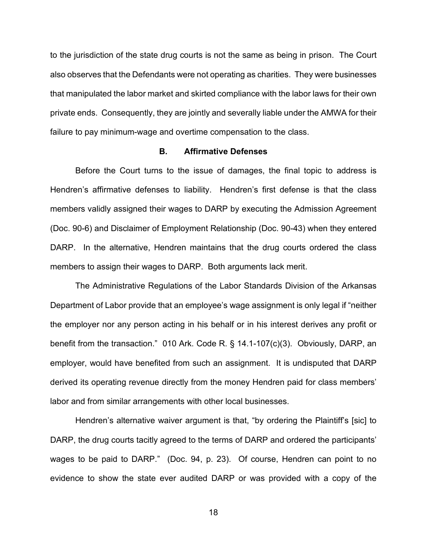to the jurisdiction of the state drug courts is not the same as being in prison. The Court also observes that the Defendants were not operating as charities. They were businesses that manipulated the labor market and skirted compliance with the labor laws for their own private ends. Consequently, they are jointly and severally liable under the AMWA for their failure to pay minimum-wage and overtime compensation to the class.

### **B. Affirmative Defenses**

Before the Court turns to the issue of damages, the final topic to address is Hendren's affirmative defenses to liability. Hendren's first defense is that the class members validly assigned their wages to DARP by executing the Admission Agreement (Doc. 90-6) and Disclaimer of Employment Relationship (Doc. 90-43) when they entered DARP. In the alternative, Hendren maintains that the drug courts ordered the class members to assign their wages to DARP. Both arguments lack merit.

The Administrative Regulations of the Labor Standards Division of the Arkansas Department of Labor provide that an employee's wage assignment is only legal if "neither the employer nor any person acting in his behalf or in his interest derives any profit or benefit from the transaction." 010 Ark. Code R. § 14.1-107(c)(3). Obviously, DARP, an employer, would have benefited from such an assignment. It is undisputed that DARP derived its operating revenue directly from the money Hendren paid for class members' labor and from similar arrangements with other local businesses.

Hendren's alternative waiver argument is that, "by ordering the Plaintiff's [sic] to DARP, the drug courts tacitly agreed to the terms of DARP and ordered the participants' wages to be paid to DARP." (Doc. 94, p. 23). Of course, Hendren can point to no evidence to show the state ever audited DARP or was provided with a copy of the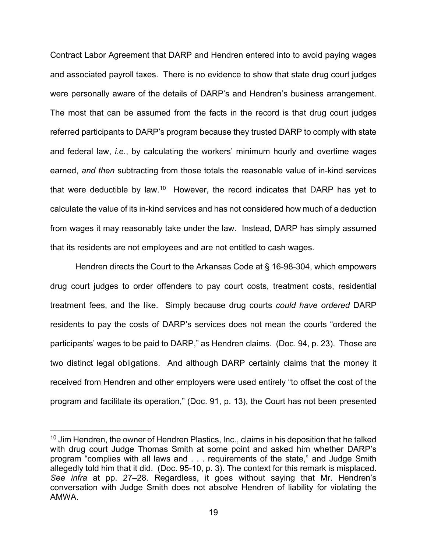Contract Labor Agreement that DARP and Hendren entered into to avoid paying wages and associated payroll taxes. There is no evidence to show that state drug court judges were personally aware of the details of DARP's and Hendren's business arrangement. The most that can be assumed from the facts in the record is that drug court judges referred participants to DARP's program because they trusted DARP to comply with state and federal law, *i.e.*, by calculating the workers' minimum hourly and overtime wages earned, *and then* subtracting from those totals the reasonable value of in-kind services that were deductible by law.<sup>[10](#page-18-0)</sup> However, the record indicates that DARP has yet to calculate the value of its in-kind services and has not considered how much of a deduction from wages it may reasonably take under the law. Instead, DARP has simply assumed that its residents are not employees and are not entitled to cash wages.

Hendren directs the Court to the Arkansas Code at § 16-98-304, which empowers drug court judges to order offenders to pay court costs, treatment costs, residential treatment fees, and the like. Simply because drug courts *could have ordered* DARP residents to pay the costs of DARP's services does not mean the courts "ordered the participants' wages to be paid to DARP," as Hendren claims. (Doc. 94, p. 23). Those are two distinct legal obligations. And although DARP certainly claims that the money it received from Hendren and other employers were used entirely "to offset the cost of the program and facilitate its operation," (Doc. 91, p. 13), the Court has not been presented

<span id="page-18-0"></span> $10$  Jim Hendren, the owner of Hendren Plastics, Inc., claims in his deposition that he talked with drug court Judge Thomas Smith at some point and asked him whether DARP's program "complies with all laws and . . . requirements of the state," and Judge Smith allegedly told him that it did. (Doc. 95-10, p. 3). The context for this remark is misplaced. *See infra* at pp. 27–28. Regardless, it goes without saying that Mr. Hendren's conversation with Judge Smith does not absolve Hendren of liability for violating the AMWA.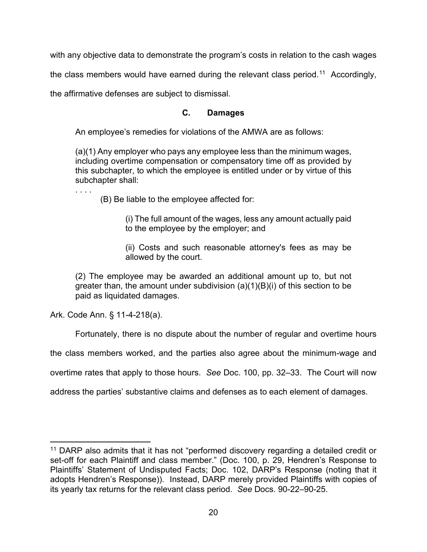with any objective data to demonstrate the program's costs in relation to the cash wages

the class members would have earned during the relevant class period.<sup>[11](#page-19-0)</sup> Accordingly,

the affirmative defenses are subject to dismissal.

# **C. Damages**

An employee's remedies for violations of the AMWA are as follows:

(a)(1) Any employer who pays any employee less than the minimum wages, including overtime compensation or compensatory time off as provided by this subchapter, to which the employee is entitled under or by virtue of this subchapter shall:

(B) Be liable to the employee affected for:

(i) The full amount of the wages, less any amount actually paid to the employee by the employer; and

(ii) Costs and such reasonable attorney's fees as may be allowed by the court.

(2) The employee may be awarded an additional amount up to, but not greater than, the amount under subdivision  $(a)(1)(B)(i)$  of this section to be paid as liquidated damages.

Ark. Code Ann. § 11-4-218(a).

. . . .

Fortunately, there is no dispute about the number of regular and overtime hours

the class members worked, and the parties also agree about the minimum-wage and

overtime rates that apply to those hours. *See* Doc. 100, pp. 32–33. The Court will now

address the parties' substantive claims and defenses as to each element of damages.

<span id="page-19-0"></span><sup>&</sup>lt;sup>11</sup> DARP also admits that it has not "performed discovery regarding a detailed credit or set-off for each Plaintiff and class member." (Doc. 100, p. 29, Hendren's Response to Plaintiffs' Statement of Undisputed Facts; Doc. 102, DARP's Response (noting that it adopts Hendren's Response)). Instead, DARP merely provided Plaintiffs with copies of its yearly tax returns for the relevant class period. *See* Docs. 90-22–90-25.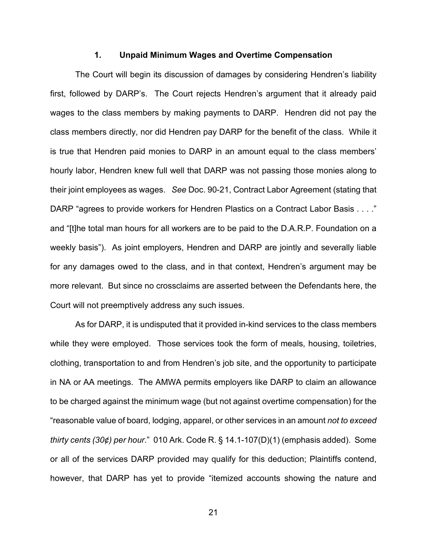#### **1. Unpaid Minimum Wages and Overtime Compensation**

The Court will begin its discussion of damages by considering Hendren's liability first, followed by DARP's. The Court rejects Hendren's argument that it already paid wages to the class members by making payments to DARP. Hendren did not pay the class members directly, nor did Hendren pay DARP for the benefit of the class. While it is true that Hendren paid monies to DARP in an amount equal to the class members' hourly labor, Hendren knew full well that DARP was not passing those monies along to their joint employees as wages. *See* Doc. 90-21, Contract Labor Agreement (stating that DARP "agrees to provide workers for Hendren Plastics on a Contract Labor Basis . . . ." and "[t]he total man hours for all workers are to be paid to the D.A.R.P. Foundation on a weekly basis"). As joint employers, Hendren and DARP are jointly and severally liable for any damages owed to the class, and in that context, Hendren's argument may be more relevant. But since no crossclaims are asserted between the Defendants here, the Court will not preemptively address any such issues.

As for DARP, it is undisputed that it provided in-kind services to the class members while they were employed. Those services took the form of meals, housing, toiletries, clothing, transportation to and from Hendren's job site, and the opportunity to participate in NA or AA meetings. The AMWA permits employers like DARP to claim an allowance to be charged against the minimum wage (but not against overtime compensation) for the "reasonable value of board, lodging, apparel, or other services in an amount *not to exceed thirty cents (30¢) per hour*." 010 Ark. Code R. § 14.1-107(D)(1) (emphasis added). Some or all of the services DARP provided may qualify for this deduction; Plaintiffs contend, however, that DARP has yet to provide "itemized accounts showing the nature and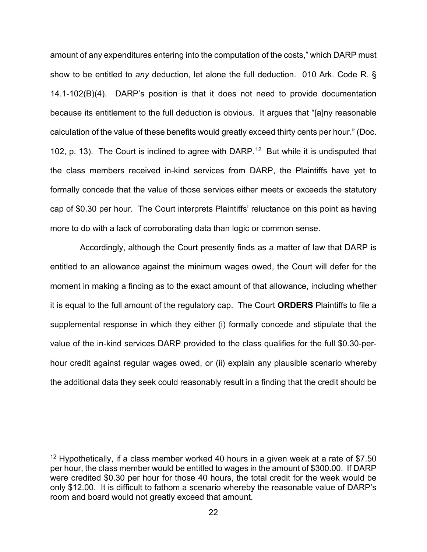amount of any expenditures entering into the computation of the costs," which DARP must show to be entitled to *any* deduction, let alone the full deduction. 010 Ark. Code R. § 14.1-102(B)(4). DARP's position is that it does not need to provide documentation because its entitlement to the full deduction is obvious. It argues that "[a]ny reasonable calculation of the value of these benefits would greatly exceed thirty cents per hour." (Doc. 102, p. 13). The Court is inclined to agree with DARP.<sup>[12](#page-21-0)</sup> But while it is undisputed that the class members received in-kind services from DARP, the Plaintiffs have yet to formally concede that the value of those services either meets or exceeds the statutory cap of \$0.30 per hour. The Court interprets Plaintiffs' reluctance on this point as having more to do with a lack of corroborating data than logic or common sense.

 Accordingly, although the Court presently finds as a matter of law that DARP is entitled to an allowance against the minimum wages owed, the Court will defer for the moment in making a finding as to the exact amount of that allowance, including whether it is equal to the full amount of the regulatory cap. The Court **ORDERS** Plaintiffs to file a supplemental response in which they either (i) formally concede and stipulate that the value of the in-kind services DARP provided to the class qualifies for the full \$0.30-perhour credit against regular wages owed, or (ii) explain any plausible scenario whereby the additional data they seek could reasonably result in a finding that the credit should be

<span id="page-21-0"></span><sup>&</sup>lt;sup>12</sup> Hypothetically, if a class member worked 40 hours in a given week at a rate of \$7.50 per hour, the class member would be entitled to wages in the amount of \$300.00. If DARP were credited \$0.30 per hour for those 40 hours, the total credit for the week would be only \$12.00. It is difficult to fathom a scenario whereby the reasonable value of DARP's room and board would not greatly exceed that amount.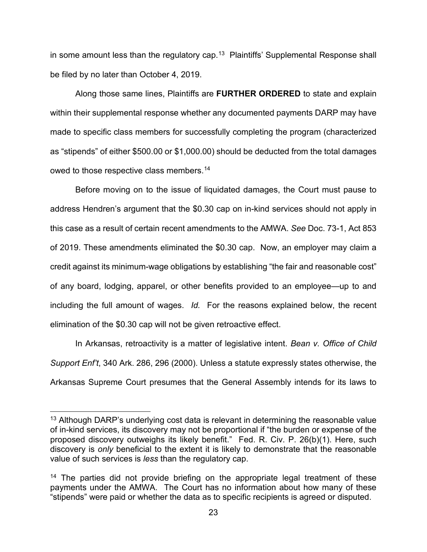in some amount less than the regulatory cap.<sup>[13](#page-22-0)</sup> Plaintiffs' Supplemental Response shall be filed by no later than October 4, 2019.

Along those same lines, Plaintiffs are **FURTHER ORDERED** to state and explain within their supplemental response whether any documented payments DARP may have made to specific class members for successfully completing the program (characterized as "stipends" of either \$500.00 or \$1,000.00) should be deducted from the total damages owed to those respective class members.<sup>[14](#page-22-1)</sup>

Before moving on to the issue of liquidated damages, the Court must pause to address Hendren's argument that the \$0.30 cap on in-kind services should not apply in this case as a result of certain recent amendments to the AMWA. *See* Doc. 73-1, Act 853 of 2019. These amendments eliminated the \$0.30 cap. Now, an employer may claim a credit against its minimum-wage obligations by establishing "the fair and reasonable cost" of any board, lodging, apparel, or other benefits provided to an employee—up to and including the full amount of wages. *Id.* For the reasons explained below, the recent elimination of the \$0.30 cap will not be given retroactive effect.

In Arkansas, retroactivity is a matter of legislative intent. *Bean v. Office of Child Support Enf't*, 340 Ark. 286, 296 (2000). Unless a statute expressly states otherwise, the Arkansas Supreme Court presumes that the General Assembly intends for its laws to

<span id="page-22-0"></span> $13$  Although DARP's underlying cost data is relevant in determining the reasonable value of in-kind services, its discovery may not be proportional if "the burden or expense of the proposed discovery outweighs its likely benefit." Fed. R. Civ. P. 26(b)(1). Here, such discovery is *only* beneficial to the extent it is likely to demonstrate that the reasonable value of such services is *less* than the regulatory cap.

<span id="page-22-1"></span> $14$  The parties did not provide briefing on the appropriate legal treatment of these payments under the AMWA. The Court has no information about how many of these "stipends" were paid or whether the data as to specific recipients is agreed or disputed.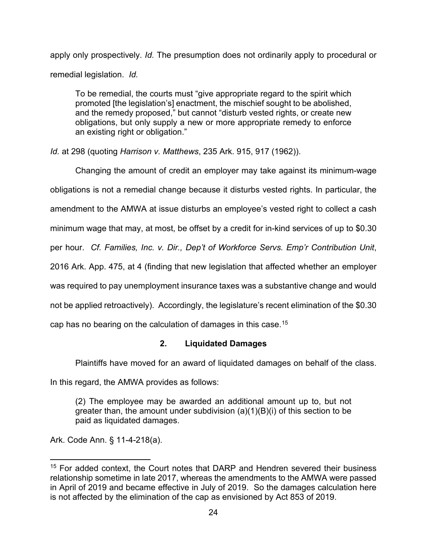apply only prospectively. *Id.* The presumption does not ordinarily apply to procedural or remedial legislation. *Id.*

To be remedial, the courts must "give appropriate regard to the spirit which promoted [the legislation's] enactment, the mischief sought to be abolished, and the remedy proposed," but cannot "disturb vested rights, or create new obligations, but only supply a new or more appropriate remedy to enforce an existing right or obligation."

*Id.* at 298 (quoting *Harrison v. Matthews*, 235 Ark. 915, 917 (1962)).

Changing the amount of credit an employer may take against its minimum-wage obligations is not a remedial change because it disturbs vested rights. In particular, the amendment to the AMWA at issue disturbs an employee's vested right to collect a cash minimum wage that may, at most, be offset by a credit for in-kind services of up to \$0.30 per hour. *Cf. Families, Inc. v. Dir., Dep't of Workforce Servs. Emp'r Contribution Unit*, 2016 Ark. App. 475, at 4 (finding that new legislation that affected whether an employer was required to pay unemployment insurance taxes was a substantive change and would not be applied retroactively). Accordingly, the legislature's recent elimination of the \$0.30 cap has no bearing on the calculation of damages in this case. [15](#page-23-0)

# **2. Liquidated Damages**

Plaintiffs have moved for an award of liquidated damages on behalf of the class.

In this regard, the AMWA provides as follows:

(2) The employee may be awarded an additional amount up to, but not greater than, the amount under subdivision  $(a)(1)(B)(i)$  of this section to be paid as liquidated damages.

Ark. Code Ann. § 11-4-218(a).

<span id="page-23-0"></span><sup>&</sup>lt;sup>15</sup> For added context, the Court notes that DARP and Hendren severed their business relationship sometime in late 2017, whereas the amendments to the AMWA were passed in April of 2019 and became effective in July of 2019. So the damages calculation here is not affected by the elimination of the cap as envisioned by Act 853 of 2019.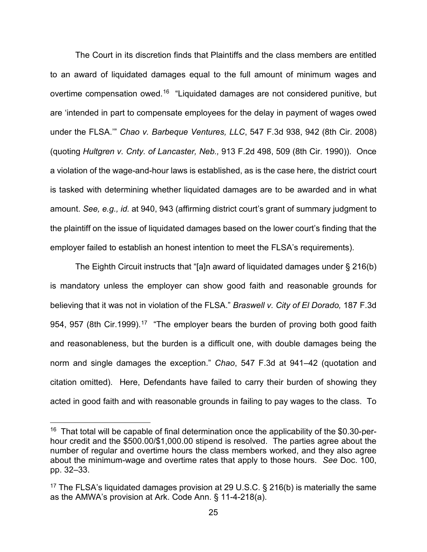The Court in its discretion finds that Plaintiffs and the class members are entitled to an award of liquidated damages equal to the full amount of minimum wages and overtime compensation owed.<sup>[16](#page-24-0)</sup> "Liquidated damages are not considered punitive, but are 'intended in part to compensate employees for the delay in payment of wages owed under the FLSA.'" *Chao v. Barbeque Ventures, LLC*, 547 F.3d 938, 942 (8th Cir. 2008) (quoting *Hultgren v. Cnty. of Lancaster, Neb.,* 913 F.2d 498, 509 (8th Cir. 1990)). Once a violation of the wage-and-hour laws is established, as is the case here, the district court is tasked with determining whether liquidated damages are to be awarded and in what amount. *See, e.g., id.* at 940, 943 (affirming district court's grant of summary judgment to the plaintiff on the issue of liquidated damages based on the lower court's finding that the employer failed to establish an honest intention to meet the FLSA's requirements).

The Eighth Circuit instructs that "[a]n award of liquidated damages under § 216(b) is mandatory unless the employer can show good faith and reasonable grounds for believing that it was not in violation of the FLSA." *Braswell v. City of El Dorado,* 187 F.3d 954, 957 (8th Cir.1999).<sup>[17](#page-24-1)</sup> "The employer bears the burden of proving both good faith and reasonableness, but the burden is a difficult one, with double damages being the norm and single damages the exception." *Chao*, 547 F.3d at 941–42 (quotation and citation omitted). Here, Defendants have failed to carry their burden of showing they acted in good faith and with reasonable grounds in failing to pay wages to the class. To

<span id="page-24-0"></span><sup>&</sup>lt;sup>16</sup> That total will be capable of final determination once the applicability of the \$0.30-perhour credit and the \$500.00/\$1,000.00 stipend is resolved. The parties agree about the number of regular and overtime hours the class members worked, and they also agree about the minimum-wage and overtime rates that apply to those hours. *See* Doc. 100, pp. 32–33.

<span id="page-24-1"></span><sup>&</sup>lt;sup>17</sup> The FLSA's liquidated damages provision at 29 U.S.C. § 216(b) is materially the same as the AMWA's provision at Ark. Code Ann. § 11-4-218(a).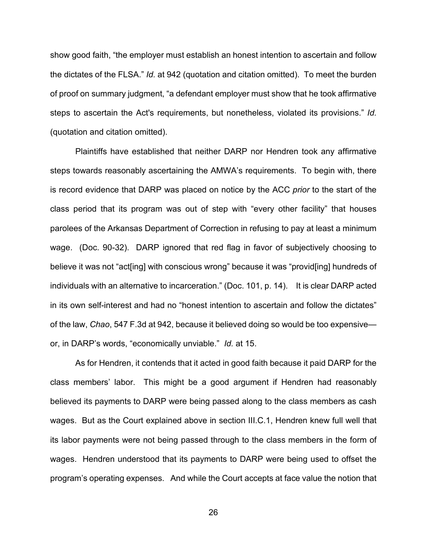show good faith, "the employer must establish an honest intention to ascertain and follow the dictates of the FLSA." *Id.* at 942 (quotation and citation omitted). To meet the burden of proof on summary judgment, "a defendant employer must show that he took affirmative steps to ascertain the Act's requirements, but nonetheless, violated its provisions." *Id.* (quotation and citation omitted).

Plaintiffs have established that neither DARP nor Hendren took any affirmative steps towards reasonably ascertaining the AMWA's requirements. To begin with, there is record evidence that DARP was placed on notice by the ACC *prior* to the start of the class period that its program was out of step with "every other facility" that houses parolees of the Arkansas Department of Correction in refusing to pay at least a minimum wage. (Doc. 90-32). DARP ignored that red flag in favor of subjectively choosing to believe it was not "act[ing] with conscious wrong" because it was "provid[ing] hundreds of individuals with an alternative to incarceration." (Doc. 101, p. 14). It is clear DARP acted in its own self-interest and had no "honest intention to ascertain and follow the dictates" of the law, *Chao*, 547 F.3d at 942, because it believed doing so would be too expensive or, in DARP's words, "economically unviable." *Id.* at 15.

As for Hendren, it contends that it acted in good faith because it paid DARP for the class members' labor. This might be a good argument if Hendren had reasonably believed its payments to DARP were being passed along to the class members as cash wages. But as the Court explained above in section III.C.1, Hendren knew full well that its labor payments were not being passed through to the class members in the form of wages. Hendren understood that its payments to DARP were being used to offset the program's operating expenses. And while the Court accepts at face value the notion that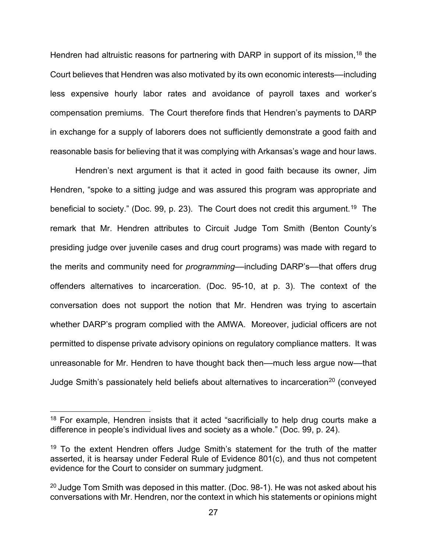Hendren had altruistic reasons for partnering with DARP in support of its mission,<sup>[18](#page-26-0)</sup> the Court believes that Hendren was also motivated by its own economic interests––including less expensive hourly labor rates and avoidance of payroll taxes and worker's compensation premiums. The Court therefore finds that Hendren's payments to DARP in exchange for a supply of laborers does not sufficiently demonstrate a good faith and reasonable basis for believing that it was complying with Arkansas's wage and hour laws.

Hendren's next argument is that it acted in good faith because its owner, Jim Hendren, "spoke to a sitting judge and was assured this program was appropriate and beneficial to society." (Doc. 99, p. 23). The Court does not credit this argument.<sup>[19](#page-26-1)</sup> The remark that Mr. Hendren attributes to Circuit Judge Tom Smith (Benton County's presiding judge over juvenile cases and drug court programs) was made with regard to the merits and community need for *programming*––including DARP's––that offers drug offenders alternatives to incarceration. (Doc. 95-10, at p. 3). The context of the conversation does not support the notion that Mr. Hendren was trying to ascertain whether DARP's program complied with the AMWA. Moreover, judicial officers are not permitted to dispense private advisory opinions on regulatory compliance matters. It was unreasonable for Mr. Hendren to have thought back then––much less argue now––that Judge Smith's passionately held beliefs about alternatives to incarceration<sup>[20](#page-26-2)</sup> (conveyed

<span id="page-26-0"></span> $18$  For example, Hendren insists that it acted "sacrificially to help drug courts make a difference in people's individual lives and society as a whole." (Doc. 99, p. 24).

<span id="page-26-1"></span><sup>&</sup>lt;sup>19</sup> To the extent Hendren offers Judge Smith's statement for the truth of the matter asserted, it is hearsay under Federal Rule of Evidence 801(c), and thus not competent evidence for the Court to consider on summary judgment.

<span id="page-26-2"></span><sup>&</sup>lt;sup>20</sup> Judge Tom Smith was deposed in this matter. (Doc. 98-1). He was not asked about his conversations with Mr. Hendren, nor the context in which his statements or opinions might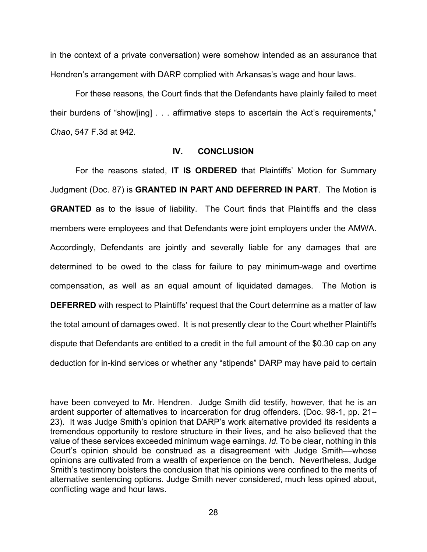in the context of a private conversation) were somehow intended as an assurance that Hendren's arrangement with DARP complied with Arkansas's wage and hour laws.

For these reasons, the Court finds that the Defendants have plainly failed to meet their burdens of "show[ing] . . . affirmative steps to ascertain the Act's requirements," *Chao*, 547 F.3d at 942.

# **IV. CONCLUSION**

For the reasons stated, **IT IS ORDERED** that Plaintiffs' Motion for Summary Judgment (Doc. 87) is **GRANTED IN PART AND DEFERRED IN PART**. The Motion is **GRANTED** as to the issue of liability. The Court finds that Plaintiffs and the class members were employees and that Defendants were joint employers under the AMWA. Accordingly, Defendants are jointly and severally liable for any damages that are determined to be owed to the class for failure to pay minimum-wage and overtime compensation, as well as an equal amount of liquidated damages. The Motion is **DEFERRED** with respect to Plaintiffs' request that the Court determine as a matter of law the total amount of damages owed. It is not presently clear to the Court whether Plaintiffs dispute that Defendants are entitled to a credit in the full amount of the \$0.30 cap on any deduction for in-kind services or whether any "stipends" DARP may have paid to certain

have been conveyed to Mr. Hendren. Judge Smith did testify, however, that he is an ardent supporter of alternatives to incarceration for drug offenders. (Doc. 98-1, pp. 21– 23). It was Judge Smith's opinion that DARP's work alternative provided its residents a tremendous opportunity to restore structure in their lives, and he also believed that the value of these services exceeded minimum wage earnings. *Id.* To be clear, nothing in this Court's opinion should be construed as a disagreement with Judge Smith––whose opinions are cultivated from a wealth of experience on the bench. Nevertheless, Judge Smith's testimony bolsters the conclusion that his opinions were confined to the merits of alternative sentencing options. Judge Smith never considered, much less opined about, conflicting wage and hour laws.